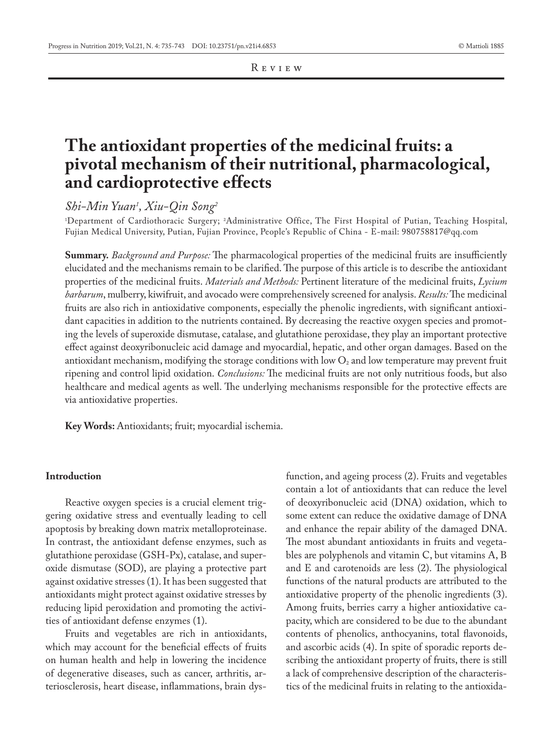Review

# **The antioxidant properties of the medicinal fruits: a pivotal mechanism of their nutritional, pharmacological, and cardioprotective effects**

*Shi-Min Yuan1 , Xiu-Qin Song2*

1 Department of Cardiothoracic Surgery; 2 Administrative Office, The First Hospital of Putian, Teaching Hospital, Fujian Medical University, Putian, Fujian Province, People's Republic of China - E-mail: 980758817@qq.com

**Summary.** *Background and Purpose:* The pharmacological properties of the medicinal fruits are insufficiently elucidated and the mechanisms remain to be clarified. The purpose of this article is to describe the antioxidant properties of the medicinal fruits. *Materials and Methods:* Pertinent literature of the medicinal fruits, *Lycium barbarum*, mulberry, kiwifruit, and avocado were comprehensively screened for analysis. *Results:* The medicinal fruits are also rich in antioxidative components, especially the phenolic ingredients, with significant antioxidant capacities in addition to the nutrients contained. By decreasing the reactive oxygen species and promoting the levels of superoxide dismutase, catalase, and glutathione peroxidase, they play an important protective effect against deoxyribonucleic acid damage and myocardial, hepatic, and other organ damages. Based on the antioxidant mechanism, modifying the storage conditions with low  $O<sub>2</sub>$  and low temperature may prevent fruit ripening and control lipid oxidation. *Conclusions:* The medicinal fruits are not only nutritious foods, but also healthcare and medical agents as well. The underlying mechanisms responsible for the protective effects are via antioxidative properties.

**Key Words:** Antioxidants; fruit; myocardial ischemia.

# **Introduction**

Reactive oxygen species is a crucial element triggering oxidative stress and eventually leading to cell apoptosis by breaking down matrix metalloproteinase. In contrast, the antioxidant defense enzymes, such as glutathione peroxidase (GSH-Px), catalase, and superoxide dismutase (SOD), are playing a protective part against oxidative stresses (1). It has been suggested that antioxidants might protect against oxidative stresses by reducing lipid peroxidation and promoting the activities of antioxidant defense enzymes (1).

Fruits and vegetables are rich in antioxidants, which may account for the beneficial effects of fruits on human health and help in lowering the incidence of degenerative diseases, such as cancer, arthritis, arteriosclerosis, heart disease, inflammations, brain dysfunction, and ageing process (2). Fruits and vegetables contain a lot of antioxidants that can reduce the level of deoxyribonucleic acid (DNA) oxidation, which to some extent can reduce the oxidative damage of DNA and enhance the repair ability of the damaged DNA. The most abundant antioxidants in fruits and vegetables are polyphenols and vitamin C, but vitamins A, B and E and carotenoids are less (2). The physiological functions of the natural products are attributed to the antioxidative property of the phenolic ingredients (3). Among fruits, berries carry a higher antioxidative capacity, which are considered to be due to the abundant contents of phenolics, anthocyanins, total flavonoids, and ascorbic acids (4). In spite of sporadic reports describing the antioxidant property of fruits, there is still a lack of comprehensive description of the characteristics of the medicinal fruits in relating to the antioxida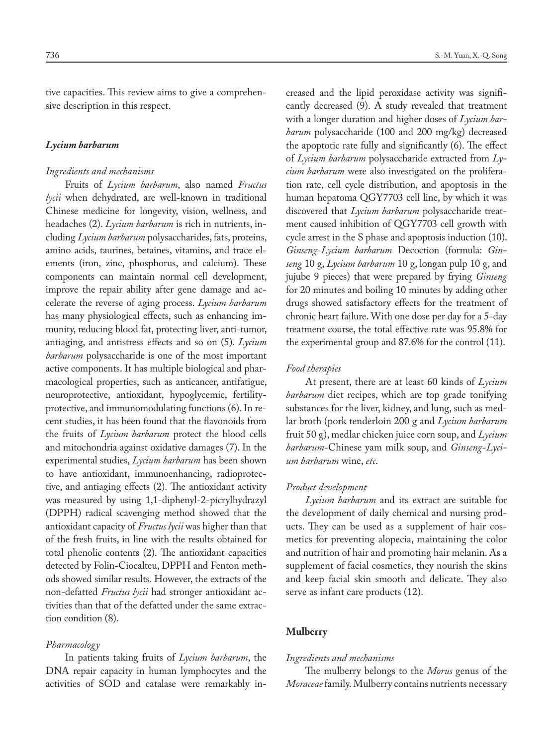tive capacities. This review aims to give a comprehensive description in this respect.

#### *Lycium barbarum*

# *Ingredients and mechanisms*

Fruits of *Lycium barbarum*, also named *Fructus lycii* when dehydrated, are well-known in traditional Chinese medicine for longevity, vision, wellness, and headaches (2). *Lycium barbarum* is rich in nutrients, including *Lycium barbarum* polysaccharides, fats, proteins, amino acids, taurines, betaines, vitamins, and trace elements (iron, zinc, phosphorus, and calcium). These components can maintain normal cell development, improve the repair ability after gene damage and accelerate the reverse of aging process. *Lycium barbarum* has many physiological effects, such as enhancing immunity, reducing blood fat, protecting liver, anti-tumor, antiaging, and antistress effects and so on (5). *Lycium barbarum* polysaccharide is one of the most important active components. It has multiple biological and pharmacological properties, such as anticancer, antifatigue, neuroprotective, antioxidant, hypoglycemic, fertilityprotective, and immunomodulating functions (6). In recent studies, it has been found that the flavonoids from the fruits of *Lycium barbarum* protect the blood cells and mitochondria against oxidative damages (7). In the experimental studies, *Lycium barbarum* has been shown to have antioxidant, immunoenhancing, radioprotective, and antiaging effects (2). The antioxidant activity was measured by using 1,1-diphenyl-2-picrylhydrazyl (DPPH) radical scavenging method showed that the antioxidant capacity of *Fructus lycii* was higher than that of the fresh fruits, in line with the results obtained for total phenolic contents (2). The antioxidant capacities detected by Folin-Ciocalteu, DPPH and Fenton methods showed similar results. However, the extracts of the non-defatted *Fructus lycii* had stronger antioxidant activities than that of the defatted under the same extraction condition (8).

#### *Pharmacology*

In patients taking fruits of *Lycium barbarum*, the DNA repair capacity in human lymphocytes and the activities of SOD and catalase were remarkably increased and the lipid peroxidase activity was significantly decreased (9). A study revealed that treatment with a longer duration and higher doses of *Lycium barbarum* polysaccharide (100 and 200 mg/kg) decreased the apoptotic rate fully and significantly (6). The effect of *Lycium barbarum* polysaccharide extracted from *Lycium barbarum* were also investigated on the proliferation rate, cell cycle distribution, and apoptosis in the human hepatoma QGY7703 cell line, by which it was discovered that *Lycium barbarum* polysaccharide treatment caused inhibition of QGY7703 cell growth with cycle arrest in the S phase and apoptosis induction (10). *Ginseng*-*Lycium barbarum* Decoction (formula: *Ginseng* 10 g, *Lycium barbarum* 10 g, longan pulp 10 g, and jujube 9 pieces) that were prepared by frying *Ginseng* for 20 minutes and boiling 10 minutes by adding other drugs showed satisfactory effects for the treatment of chronic heart failure. With one dose per day for a 5-day treatment course, the total effective rate was 95.8% for the experimental group and 87.6% for the control (11).

# *Food therapies*

At present, there are at least 60 kinds of *Lycium barbarum* diet recipes, which are top grade tonifying substances for the liver, kidney, and lung, such as medlar broth (pork tenderloin 200 g and *Lycium barbarum* fruit 50 g), medlar chicken juice corn soup, and *Lycium barbarum*-Chinese yam milk soup, and *Ginseng*-*Lycium barbarum* wine, *etc*.

# *Product development*

*Lycium barbarum* and its extract are suitable for the development of daily chemical and nursing products. They can be used as a supplement of hair cosmetics for preventing alopecia, maintaining the color and nutrition of hair and promoting hair melanin. As a supplement of facial cosmetics, they nourish the skins and keep facial skin smooth and delicate. They also serve as infant care products (12).

# **Mulberry**

# *Ingredients and mechanisms*

The mulberry belongs to the *Morus* genus of the *Moraceae* family. Mulberry contains nutrients necessary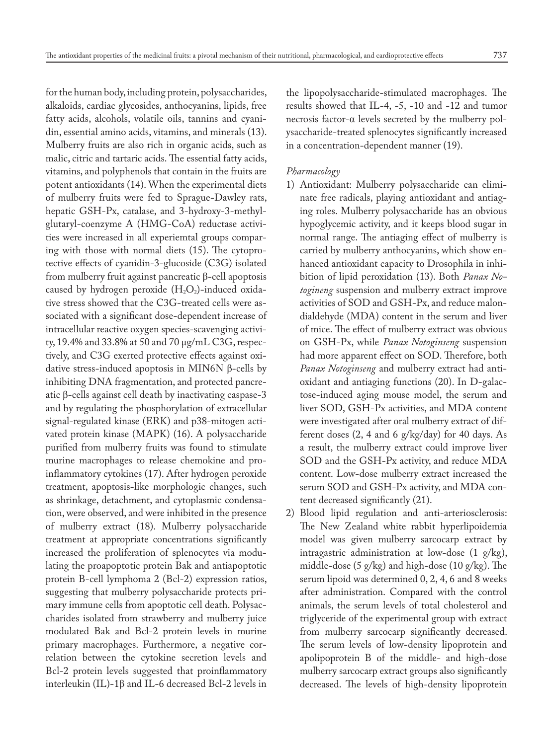for the human body, including protein, polysaccharides, alkaloids, cardiac glycosides, anthocyanins, lipids, free fatty acids, alcohols, volatile oils, tannins and cyanidin, essential amino acids, vitamins, and minerals (13). Mulberry fruits are also rich in organic acids, such as malic, citric and tartaric acids. The essential fatty acids, vitamins, and polyphenols that contain in the fruits are potent antioxidants (14). When the experimental diets of mulberry fruits were fed to Sprague-Dawley rats, hepatic GSH-Px, catalase, and 3-hydroxy-3-methylglutaryl-coenzyme A (HMG-CoA) reductase activities were increased in all experiemtal groups comparing with those with normal diets (15). The cytoprotective effects of cyanidin-3-glucoside (C3G) isolated from mulberry fruit against pancreatic β-cell apoptosis caused by hydrogen peroxide  $(H_2O_2)$ -induced oxidative stress showed that the C3G-treated cells were associated with a significant dose-dependent increase of intracellular reactive oxygen species-scavenging activity, 19.4% and 33.8% at 50 and 70 μg/mL C3G, respectively, and C3G exerted protective effects against oxidative stress-induced apoptosis in MIN6N β-cells by inhibiting DNA fragmentation, and protected pancreatic β-cells against cell death by inactivating caspase-3 and by regulating the phosphorylation of extracellular signal-regulated kinase (ERK) and p38-mitogen activated protein kinase (MAPK) (16). A polysaccharide purified from mulberry fruits was found to stimulate murine macrophages to release chemokine and proinflammatory cytokines (17). After hydrogen peroxide treatment, apoptosis-like morphologic changes, such as shrinkage, detachment, and cytoplasmic condensation, were observed, and were inhibited in the presence of mulberry extract (18). Mulberry polysaccharide treatment at appropriate concentrations significantly increased the proliferation of splenocytes via modulating the proapoptotic protein Bak and antiapoptotic protein B-cell lymphoma 2 (Bcl-2) expression ratios, suggesting that mulberry polysaccharide protects primary immune cells from apoptotic cell death. Polysaccharides isolated from strawberry and mulberry juice modulated Bak and Bcl-2 protein levels in murine primary macrophages. Furthermore, a negative correlation between the cytokine secretion levels and Bcl-2 protein levels suggested that proinflammatory interleukin (IL)-1β and IL-6 decreased Bcl-2 levels in

the lipopolysaccharide-stimulated macrophages. The results showed that IL-4, -5, -10 and -12 and tumor necrosis factor-α levels secreted by the mulberry polysaccharide-treated splenocytes significantly increased in a concentration-dependent manner (19).

# *Pharmacology*

- 1) Antioxidant: Mulberry polysaccharide can eliminate free radicals, playing antioxidant and antiaging roles. Mulberry polysaccharide has an obvious hypoglycemic activity, and it keeps blood sugar in normal range. The antiaging effect of mulberry is carried by mulberry anthocyanins, which show enhanced antioxidant capacity to Drosophila in inhibition of lipid peroxidation (13). Both *Panax Notogineng* suspension and mulberry extract improve activities of SOD and GSH-Px, and reduce malondialdehyde (MDA) content in the serum and liver of mice. The effect of mulberry extract was obvious on GSH-Px, while *Panax Notoginseng* suspension had more apparent effect on SOD. Therefore, both *Panax Notoginseng* and mulberry extract had antioxidant and antiaging functions (20). In D-galactose-induced aging mouse model, the serum and liver SOD, GSH-Px activities, and MDA content were investigated after oral mulberry extract of different doses (2, 4 and 6 g/kg/day) for 40 days. As a result, the mulberry extract could improve liver SOD and the GSH-Px activity, and reduce MDA content. Low-dose mulberry extract increased the serum SOD and GSH-Px activity, and MDA content decreased significantly (21).
- 2) Blood lipid regulation and anti-arteriosclerosis: The New Zealand white rabbit hyperlipoidemia model was given mulberry sarcocarp extract by intragastric administration at low-dose (1 g/kg), middle-dose (5 g/kg) and high-dose (10 g/kg). The serum lipoid was determined 0, 2, 4, 6 and 8 weeks after administration. Compared with the control animals, the serum levels of total cholesterol and triglyceride of the experimental group with extract from mulberry sarcocarp significantly decreased. The serum levels of low-density lipoprotein and apolipoprotein B of the middle- and high-dose mulberry sarcocarp extract groups also significantly decreased. The levels of high-density lipoprotein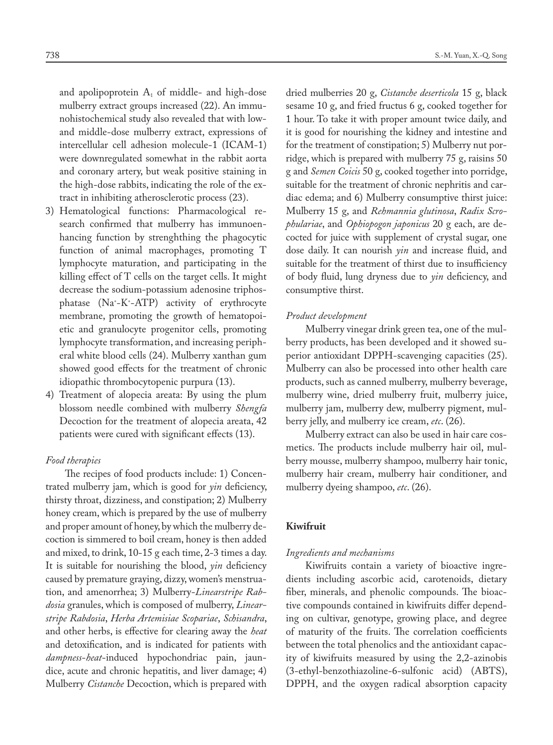and apolipoprotein  $A_1$  of middle- and high-dose mulberry extract groups increased (22). An immunohistochemical study also revealed that with lowand middle-dose mulberry extract, expressions of intercellular cell adhesion molecule-1 (ICAM-1) were downregulated somewhat in the rabbit aorta and coronary artery, but weak positive staining in the high-dose rabbits, indicating the role of the extract in inhibiting atherosclerotic process (23).

- 3) Hematological functions: Pharmacological research confirmed that mulberry has immunoenhancing function by strenghthing the phagocytic function of animal macrophages, promoting T lymphocyte maturation, and participating in the killing effect of T cells on the target cells. It might decrease the sodium-potassium adenosine triphosphatase (Na+ -K+ -ATP) activity of erythrocyte membrane, promoting the growth of hematopoietic and granulocyte progenitor cells, promoting lymphocyte transformation, and increasing peripheral white blood cells (24). Mulberry xanthan gum showed good effects for the treatment of chronic idiopathic thrombocytopenic purpura (13).
- 4) Treatment of alopecia areata: By using the plum blossom needle combined with mulberry *Shengfa* Decoction for the treatment of alopecia areata, 42 patients were cured with significant effects (13).

# *Food therapies*

The recipes of food products include: 1) Concentrated mulberry jam, which is good for *yin* deficiency, thirsty throat, dizziness, and constipation; 2) Mulberry honey cream, which is prepared by the use of mulberry and proper amount of honey, by which the mulberry decoction is simmered to boil cream, honey is then added and mixed, to drink, 10-15 g each time, 2-3 times a day. It is suitable for nourishing the blood, *yin* deficiency caused by premature graying, dizzy, women's menstruation, and amenorrhea; 3) Mulberry-*Linearstripe Rabdosia* granules, which is composed of mulberry, *Linearstripe Rabdosia*, *Herba Artemisiae Scopariae*, *Schisandra*, and other herbs, is effective for clearing away the *heat* and detoxification, and is indicated for patients with *dampness*-*heat*-induced hypochondriac pain, jaundice, acute and chronic hepatitis, and liver damage; 4) Mulberry *Cistanche* Decoction, which is prepared with

dried mulberries 20 g, *Cistanche deserticola* 15 g, black sesame 10 g, and fried fructus 6 g, cooked together for 1 hour. To take it with proper amount twice daily, and it is good for nourishing the kidney and intestine and for the treatment of constipation; 5) Mulberry nut porridge, which is prepared with mulberry 75 g, raisins 50 g and *Semen Coicis* 50 g, cooked together into porridge, suitable for the treatment of chronic nephritis and cardiac edema; and 6) Mulberry consumptive thirst juice: Mulberry 15 g, and *Rehmannia glutinosa*, *Radix Scrophulariae*, and *Ophiopogon japonicus* 20 g each, are decocted for juice with supplement of crystal sugar, one dose daily. It can nourish *yin* and increase fluid, and suitable for the treatment of thirst due to insufficiency of body fluid, lung dryness due to *yin* deficiency, and consumptive thirst.

# *Product development*

Mulberry vinegar drink green tea, one of the mulberry products, has been developed and it showed superior antioxidant DPPH-scavenging capacities (25). Mulberry can also be processed into other health care products, such as canned mulberry, mulberry beverage, mulberry wine, dried mulberry fruit, mulberry juice, mulberry jam, mulberry dew, mulberry pigment, mulberry jelly, and mulberry ice cream, *etc*. (26).

Mulberry extract can also be used in hair care cosmetics. The products include mulberry hair oil, mulberry mousse, mulberry shampoo, mulberry hair tonic, mulberry hair cream, mulberry hair conditioner, and mulberry dyeing shampoo, *etc*. (26).

# **Kiwifruit**

# *Ingredients and mechanisms*

Kiwifruits contain a variety of bioactive ingredients including ascorbic acid, carotenoids, dietary fiber, minerals, and phenolic compounds. The bioactive compounds contained in kiwifruits differ depending on cultivar, genotype, growing place, and degree of maturity of the fruits. The correlation coefficients between the total phenolics and the antioxidant capacity of kiwifruits measured by using the 2,2-azinobis (3-ethyl-benzothiazoline-6-sulfonic acid) (ABTS), DPPH, and the oxygen radical absorption capacity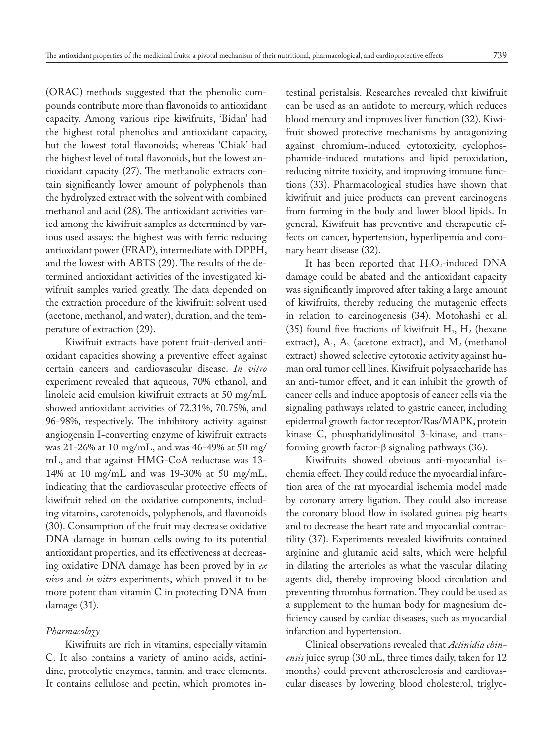(ORAC) methods suggested that the phenolic compounds contribute more than flavonoids to antioxidant capacity. Among various ripe kiwifruits, 'Bidan' had the highest total phenolics and antioxidant capacity, but the lowest total flavonoids; whereas 'Chiak' had the highest level of total flavonoids, but the lowest antioxidant capacity (27). The methanolic extracts contain significantly lower amount of polyphenols than the hydrolyzed extract with the solvent with combined methanol and acid (28). The antioxidant activities varied among the kiwifruit samples as determined by various used assays: the highest was with ferric reducing antioxidant power (FRAP), intermediate with DPPH, and the lowest with ABTS (29). The results of the determined antioxidant activities of the investigated kiwifruit samples varied greatly. The data depended on the extraction procedure of the kiwifruit: solvent used (acetone, methanol, and water), duration, and the temperature of extraction (29).

Kiwifruit extracts have potent fruit-derived antioxidant capacities showing a preventive effect against certain cancers and cardiovascular disease. *In vitro* experiment revealed that aqueous, 70% ethanol, and linoleic acid emulsion kiwifruit extracts at 50 mg/mL showed antioxidant activities of 72.31%, 70.75%, and 96-98%, respectively. The inhibitory activity against angiogensin I-converting enzyme of kiwifruit extracts was 21-26% at 10 mg/mL, and was 46-49% at 50 mg/ mL, and that against HMG-CoA reductase was 13- 14% at 10 mg/mL and was 19-30% at 50 mg/mL, indicating that the cardiovascular protective effects of kiwifruit relied on the oxidative components, including vitamins, carotenoids, polyphenols, and flavonoids (30). Consumption of the fruit may decrease oxidative DNA damage in human cells owing to its potential antioxidant properties, and its effectiveness at decreasing oxidative DNA damage has been proved by in *ex vivo* and *in vitro* experiments, which proved it to be more potent than vitamin C in protecting DNA from damage (31).

# *Pharmacology*

Kiwifruits are rich in vitamins, especially vitamin C. It also contains a variety of amino acids, actinidine, proteolytic enzymes, tannin, and trace elements. It contains cellulose and pectin, which promotes intestinal peristalsis. Researches revealed that kiwifruit can be used as an antidote to mercury, which reduces blood mercury and improves liver function (32). Kiwifruit showed protective mechanisms by antagonizing against chromium-induced cytotoxicity, cyclophosphamide-induced mutations and lipid peroxidation, reducing nitrite toxicity, and improving immune functions (33). Pharmacological studies have shown that kiwifruit and juice products can prevent carcinogens from forming in the body and lower blood lipids. In general, Kiwifruit has preventive and therapeutic effects on cancer, hypertension, hyperlipemia and coronary heart disease (32).

It has been reported that  $H_2O_2$ -induced DNA damage could be abated and the antioxidant capacity was significantly improved after taking a large amount of kiwifruits, thereby reducing the mutagenic effects in relation to carcinogenesis (34). Motohashi et al. (35) found five fractions of kiwifruit  $H_1$ ,  $H_2$  (hexane extract),  $A_1$ ,  $A_2$  (acetone extract), and  $M_2$  (methanol extract) showed selective cytotoxic activity against human oral tumor cell lines. Kiwifruit polysaccharide has an anti-tumor effect, and it can inhibit the growth of cancer cells and induce apoptosis of cancer cells via the signaling pathways related to gastric cancer, including epidermal growth factor receptor/Ras/MAPK, protein kinase C, phosphatidylinositol 3-kinase, and transforming growth factor-β signaling pathways (36).

Kiwifruits showed obvious anti-myocardial ischemia effect. They could reduce the myocardial infarction area of the rat myocardial ischemia model made by coronary artery ligation. They could also increase the coronary blood flow in isolated guinea pig hearts and to decrease the heart rate and myocardial contractility (37). Experiments revealed kiwifruits contained arginine and glutamic acid salts, which were helpful in dilating the arterioles as what the vascular dilating agents did, thereby improving blood circulation and preventing thrombus formation. They could be used as a supplement to the human body for magnesium deficiency caused by cardiac diseases, such as myocardial infarction and hypertension.

Clinical observations revealed that *Actinidia chinensis* juice syrup (30 mL, three times daily, taken for 12 months) could prevent atherosclerosis and cardiovascular diseases by lowering blood cholesterol, triglyc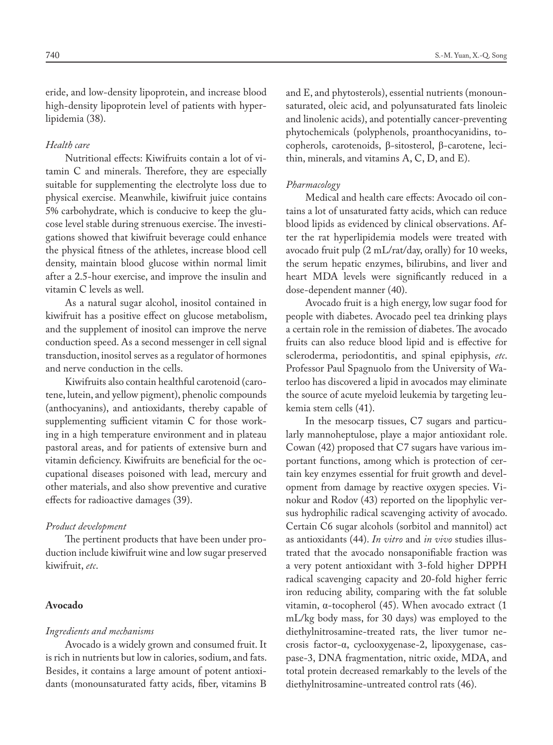eride, and low-density lipoprotein, and increase blood high-density lipoprotein level of patients with hyperlipidemia (38).

# *Health care*

Nutritional effects: Kiwifruits contain a lot of vitamin C and minerals. Therefore, they are especially suitable for supplementing the electrolyte loss due to physical exercise. Meanwhile, kiwifruit juice contains 5% carbohydrate, which is conducive to keep the glucose level stable during strenuous exercise. The investigations showed that kiwifruit beverage could enhance the physical fitness of the athletes, increase blood cell density, maintain blood glucose within normal limit after a 2.5-hour exercise, and improve the insulin and vitamin C levels as well.

As a natural sugar alcohol, inositol contained in kiwifruit has a positive effect on glucose metabolism, and the supplement of inositol can improve the nerve conduction speed. As a second messenger in cell signal transduction, inositol serves as a regulator of hormones and nerve conduction in the cells.

Kiwifruits also contain healthful carotenoid (carotene, lutein, and yellow pigment), phenolic compounds (anthocyanins), and antioxidants, thereby capable of supplementing sufficient vitamin C for those working in a high temperature environment and in plateau pastoral areas, and for patients of extensive burn and vitamin deficiency. Kiwifruits are beneficial for the occupational diseases poisoned with lead, mercury and other materials, and also show preventive and curative effects for radioactive damages (39).

#### *Product development*

The pertinent products that have been under production include kiwifruit wine and low sugar preserved kiwifruit, *etc*.

# **Avocado**

#### *Ingredients and mechanisms*

Avocado is a widely grown and consumed fruit. It is rich in nutrients but low in calories, sodium, and fats. Besides, it contains a large amount of potent antioxidants (monounsaturated fatty acids, fiber, vitamins B and E, and phytosterols), essential nutrients (monounsaturated, oleic acid, and polyunsaturated fats linoleic and linolenic acids), and potentially cancer-preventing phytochemicals (polyphenols, proanthocyanidins, tocopherols, carotenoids, β-sitosterol, β-carotene, lecithin, minerals, and vitamins A, C, D, and E).

# *Pharmacology*

Medical and health care effects: Avocado oil contains a lot of unsaturated fatty acids, which can reduce blood lipids as evidenced by clinical observations. After the rat hyperlipidemia models were treated with avocado fruit pulp (2 mL/rat/day, orally) for 10 weeks, the serum hepatic enzymes, bilirubins, and liver and heart MDA levels were significantly reduced in a dose-dependent manner (40).

Avocado fruit is a high energy, low sugar food for people with diabetes. Avocado peel tea drinking plays a certain role in the remission of diabetes. The avocado fruits can also reduce blood lipid and is effective for scleroderma, periodontitis, and spinal epiphysis, *etc*. Professor Paul Spagnuolo from the University of Waterloo has discovered a lipid in avocados may eliminate the source of acute myeloid leukemia by targeting leukemia stem cells (41).

In the mesocarp tissues, C7 sugars and particularly mannoheptulose, playe a major antioxidant role. Cowan (42) proposed that C7 sugars have various important functions, among which is protection of certain key enzymes essential for fruit growth and development from damage by reactive oxygen species. Vinokur and Rodov (43) reported on the lipophylic versus hydrophilic radical scavenging activity of avocado. Certain C6 sugar alcohols (sorbitol and mannitol) act as antioxidants (44). *In vitro* and *in vivo* studies illustrated that the avocado nonsaponifiable fraction was a very potent antioxidant with 3-fold higher DPPH radical scavenging capacity and 20-fold higher ferric iron reducing ability, comparing with the fat soluble vitamin, α-tocopherol (45). When avocado extract (1 mL/kg body mass, for 30 days) was employed to the diethylnitrosamine-treated rats, the liver tumor necrosis factor-α, cyclooxygenase-2, lipoxygenase, caspase-3, DNA fragmentation, nitric oxide, MDA, and total protein decreased remarkably to the levels of the diethylnitrosamine-untreated control rats (46).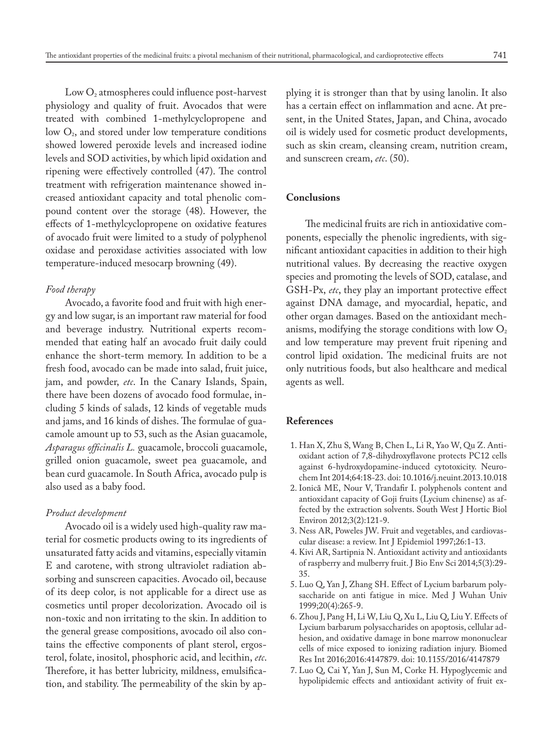Low  $O_2$  atmospheres could influence post-harvest physiology and quality of fruit. Avocados that were treated with combined 1-methylcyclopropene and low  $O_2$ , and stored under low temperature conditions showed lowered peroxide levels and increased iodine levels and SOD activities, by which lipid oxidation and ripening were effectively controlled (47). The control treatment with refrigeration maintenance showed increased antioxidant capacity and total phenolic compound content over the storage (48). However, the effects of 1-methylcyclopropene on oxidative features of avocado fruit were limited to a study of polyphenol oxidase and peroxidase activities associated with low temperature-induced mesocarp browning (49).

#### *Food therapy*

Avocado, a favorite food and fruit with high energy and low sugar, is an important raw material for food and beverage industry. Nutritional experts recommended that eating half an avocado fruit daily could enhance the short-term memory. In addition to be a fresh food, avocado can be made into salad, fruit juice, jam, and powder, *etc*. In the Canary Islands, Spain, there have been dozens of avocado food formulae, including 5 kinds of salads, 12 kinds of vegetable muds and jams, and 16 kinds of dishes. The formulae of guacamole amount up to 53, such as the Asian guacamole, *Asparagus officinalis L.* guacamole, broccoli guacamole, grilled onion guacamole, sweet pea guacamole, and bean curd guacamole. In South Africa, avocado pulp is also used as a baby food.

# *Product development*

Avocado oil is a widely used high-quality raw material for cosmetic products owing to its ingredients of unsaturated fatty acids and vitamins, especially vitamin E and carotene, with strong ultraviolet radiation absorbing and sunscreen capacities. Avocado oil, because of its deep color, is not applicable for a direct use as cosmetics until proper decolorization. Avocado oil is non-toxic and non irritating to the skin. In addition to the general grease compositions, avocado oil also contains the effective components of plant sterol, ergosterol, folate, inositol, phosphoric acid, and lecithin, *etc*. Therefore, it has better lubricity, mildness, emulsification, and stability. The permeability of the skin by applying it is stronger than that by using lanolin. It also has a certain effect on inflammation and acne. At present, in the United States, Japan, and China, avocado oil is widely used for cosmetic product developments, such as skin cream, cleansing cream, nutrition cream, and sunscreen cream, *etc*. (50).

# **Conclusions**

The medicinal fruits are rich in antioxidative components, especially the phenolic ingredients, with significant antioxidant capacities in addition to their high nutritional values. By decreasing the reactive oxygen species and promoting the levels of SOD, catalase, and GSH-Px, *etc*, they play an important protective effect against DNA damage, and myocardial, hepatic, and other organ damages. Based on the antioxidant mechanisms, modifying the storage conditions with low  $O<sub>2</sub>$ and low temperature may prevent fruit ripening and control lipid oxidation. The medicinal fruits are not only nutritious foods, but also healthcare and medical agents as well.

# **References**

- 1. Han X, Zhu S, Wang B, Chen L, Li R, Yao W, Qu Z. Antioxidant action of 7,8-dihydroxyflavone protects PC12 cells against 6-hydroxydopamine-induced cytotoxicity. Neurochem Int 2014;64:18-23. doi: 10.1016/j.neuint.2013.10.018
- 2. Ionică ME, Nour V, Trandafir I. polyphenols content and antioxidant capacity of Goji fruits (Lycium chinense) as affected by the extraction solvents. South West J Hortic Biol Environ 2012;3(2):121-9.
- 3. Ness AR, Poweles JW. Fruit and vegetables, and cardiovascular disease: a review. Int J Epidemiol 1997;26:1-13.
- 4. Kivi AR, Sartipnia N. Antioxidant activity and antioxidants of raspberry and mulberry fruit. J Bio Env Sci 2014;5(3):29- 35.
- 5. Luo Q, Yan J, Zhang SH. Effect of Lycium barbarum polysaccharide on anti fatigue in mice. Med J Wuhan Univ 1999;20(4):265-9.
- 6. Zhou J, Pang H, Li W, Liu Q, Xu L, Liu Q, Liu Y. Effects of Lycium barbarum polysaccharides on apoptosis, cellular adhesion, and oxidative damage in bone marrow mononuclear cells of mice exposed to ionizing radiation injury. Biomed Res Int 2016;2016:4147879. doi: 10.1155/2016/4147879
- 7. Luo Q, Cai Y, Yan J, Sun M, Corke H. Hypoglycemic and hypolipidemic effects and antioxidant activity of fruit ex-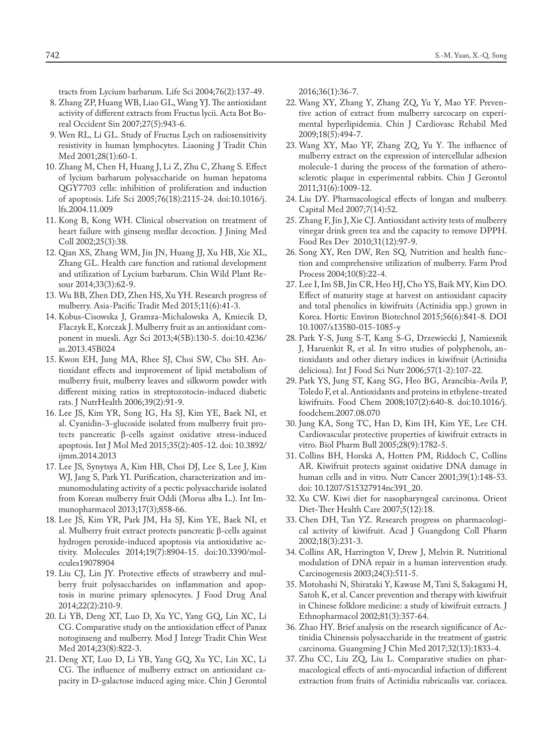tracts from Lycium barbarum. Life Sci 2004;76(2):137-49.

- 8. Zhang ZP, Huang WB, Liao GL, Wang YJ. The antioxidant activity of different extracts from Fructus lycii. Acta Bot Boreal Occident Sin 2007;27(5):943-6.
- 9. Wen RL, Li GL. Study of Fructus Lych on radiosensitivity resistivity in human lymphocytes. Liaoning J Tradit Chin Med 2001;28(1):60-1.
- 10. Zhang M, Chen H, Huang J, Li Z, Zhu C, Zhang S. Effect of lycium barbarum polysaccharide on human hepatoma QGY7703 cells: inhibition of proliferation and induction of apoptosis. Life Sci 2005;76(18):2115-24. doi:10.1016/j. lfs.2004.11.009
- 11. Kong B, Kong WH. Clinical observation on treatment of heart failure with ginseng medlar decoction. J Jining Med Coll 2002;25(3):38.
- 12. Qian XS, Zhang WM, Jin JN, Huang JJ, Xu HB, Xie XL, Zhang GL. Health care function and rational development and utilization of Lycium barbarum. Chin Wild Plant Resour 2014;33(3):62-9.
- 13. Wu BB, Zhen DD, Zhen HS, Xu YH. Research progress of mulberry. Asia-Pacific Tradit Med 2015;11(6):41-3.
- 14. Kobus-Cisowska J, Gramza-Michalowska A, Kmiecik D, Flaczyk E, Korczak J. Mulberry fruit as an antioxidant component in muesli. Agr Sci 2013;4(5B):130-5. doi:10.4236/ as.2013.45B024
- 15. Kwon EH, Jung MA, Rhee SJ, Choi SW, Cho SH. Antioxidant effects and improvement of lipid metabolism of mulberry fruit, mulberry leaves and silkworm powder with different mixing ratios in streptozotocin-induced diabetic rats. J NutrHealth 2006;39(2):91-9.
- 16. Lee JS, Kim YR, Song IG, Ha SJ, Kim YE, Baek NI, et al. Cyanidin-3-glucoside isolated from mulberry fruit protects pancreatic β-cells against oxidative stress-induced apoptosis. Int J Mol Med 2015;35(2):405-12. doi: 10.3892/ ijmm.2014.2013
- 17. Lee JS, Synytsya A, Kim HB, Choi DJ, Lee S, Lee J, Kim WJ, Jang S, Park YI. Purification, characterization and immunomodulating activity of a pectic polysaccharide isolated from Korean mulberry fruit Oddi (Morus alba L.). Int Immunopharmacol 2013;17(3);858-66.
- 18. Lee JS, Kim YR, Park JM, Ha SJ, Kim YE, Baek NI, et al. Mulberry fruit extract protects pancreatic β-cells against hydrogen peroxide-induced apoptosis via antioxidative activity. Molecules 2014;19(7):8904-15. doi:10.3390/molecules19078904
- 19. Liu CJ, Lin JY. Protective effects of strawberry and mulberry fruit polysaccharides on inflammation and apoptosis in murine primary splenocytes. J Food Drug Anal 2014;22(2):210-9.
- 20. Li YB, Deng XT, Luo D, Xu YC, Yang GQ, Lin XC, Li CG. Comparative study on the antioxidation effect of Panax notoginseng and mulberry. Mod J Integr Tradit Chin West Med 2014;23(8):822-3.
- 21. Deng XT, Luo D, Li YB, Yang GQ, Xu YC, Lin XC, Li CG. The influence of mulberry extract on antioxidant capacity in D-galactose induced aging mice. Chin J Gerontol

2016;36(1):36-7.

- 22. Wang XY, Zhang Y, Zhang ZQ, Yu Y, Mao YF. Preventive action of extract from mulberry sarcocarp on experimental hyperlipidemia. Chin J Cardiovasc Rehabil Med 2009;18(5):494-7.
- 23. Wang XY, Mao YF, Zhang ZQ, Yu Y. The influence of mulberry extract on the expression of intercellular adhesion molecule-1 during the process of the formation of atherosclerotic plaque in experimental rabbits. Chin J Gerontol 2011;31(6):1009-12.
- 24. Liu DY. Pharmacological effects of longan and mulberry. Capital Med 2007;7(14):52.
- 25. Zhang F, Jin J, Xie CJ. Antioxidant activity tests of mulberry vinegar drink green tea and the capacity to remove DPPH. Food Res Dev 2010;31(12):97-9.
- 26. Song XY, Ren DW, Ren SQ. Nutrition and health function and comprehensive utilization of mulberry. Farm Prod Process 2004;10(8):22-4.
- 27. Lee I, Im SB, Jin CR, Heo HJ, Cho YS, Baik MY, Kim DO. Effect of maturity stage at harvest on antioxidant capacity and total phenolics in kiwifruits (Actinidia spp.) grown in Korea. Hortic Environ Biotechnol 2015;56(6):841-8. DOI 10.1007/s13580-015-1085-y
- 28. Park Y-S, Jung S-T, Kang S-G, Drzewiecki J, Namiesnik J, Haruenkit R, et al. In vitro studies of polyphenols, antioxidants and other dietary indices in kiwifruit (Actinidia deliciosa). Int J Food Sci Nutr 2006;57(1-2):107-22.
- 29. Park YS, Jung ST, Kang SG, Heo BG, Arancibia-Avila P, Toledo F, et al. Antioxidants and proteins in ethylene-treated kiwifruits. Food Chem 2008;107(2):640-8. doi:10.1016/j. foodchem.2007.08.070
- 30. Jung KA, Song TC, Han D, Kim IH, Kim YE, Lee CH. Cardiovascular protective properties of kiwifruit extracts in vitro. Biol Pharm Bull 2005;28(9):1782-5.
- 31. Collins BH, Horská A, Hotten PM, Riddoch C, Collins AR. Kiwifruit protects against oxidative DNA damage in human cells and in vitro. Nutr Cancer 2001;39(1):148-53. doi: 10.1207/S15327914nc391\_20.
- 32. Xu CW. Kiwi diet for nasopharyngeal carcinoma. Orient Diet-Ther Health Care 2007;5(12):18.
- 33. Chen DH, Tan YZ. Research progress on pharmacological activity of kiwifruit. Acad J Guangdong Coll Pharm 2002;18(3):231-3.
- 34. Collins AR, Harrington V, Drew J, Melvin R. Nutritional modulation of DNA repair in a human intervention study. Carcinogenesis 2003;24(3):511-5.
- 35. Motohashi N, Shirataki Y, Kawase M, Tani S, Sakagami H, Satoh K, et al. Cancer prevention and therapy with kiwifruit in Chinese folklore medicine: a study of kiwifruit extracts. J Ethnopharmacol 2002;81(3):357-64.
- 36. Zhao HY. Brief analysis on the research significance of Actinidia Chinensis polysaccharide in the treatment of gastric carcinoma. Guangming J Chin Med 2017;32(13):1833-4.
- 37. Zhu CC, Liu ZQ, Liu L. Comparative studies on pharmacological effects of anti-myocardial infaction of different extraction from fruits of Actinidia rubricaulis var. coriacea.